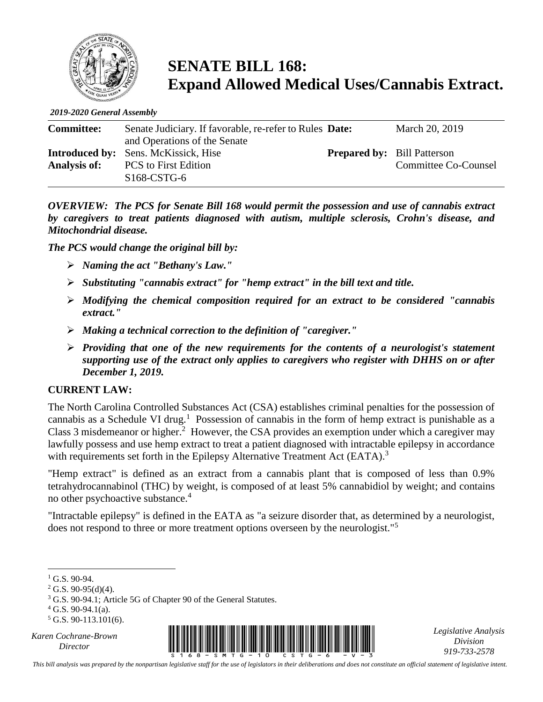

# **SENATE BILL 168: Expand Allowed Medical Uses/Cannabis Extract.**

*2019-2020 General Assembly*

| <b>Committee:</b> | Senate Judiciary. If favorable, re-refer to Rules Date: |                                    | March 20, 2019       |
|-------------------|---------------------------------------------------------|------------------------------------|----------------------|
|                   | and Operations of the Senate                            |                                    |                      |
|                   | <b>Introduced by:</b> Sens. McKissick, Hise             | <b>Prepared by:</b> Bill Patterson |                      |
| Analysis of:      | <b>PCS</b> to First Edition                             |                                    | Committee Co-Counsel |
|                   | $S168$ -CSTG-6                                          |                                    |                      |

*OVERVIEW: The PCS for Senate Bill 168 would permit the possession and use of cannabis extract by caregivers to treat patients diagnosed with autism, multiple sclerosis, Crohn's disease, and Mitochondrial disease.* 

*The PCS would change the original bill by:*

- ➢ *Naming the act "Bethany's Law."*
- ➢ *Substituting "cannabis extract" for "hemp extract" in the bill text and title.*
- ➢ *Modifying the chemical composition required for an extract to be considered "cannabis extract."*
- ➢ *Making a technical correction to the definition of "caregiver."*
- ➢ *Providing that one of the new requirements for the contents of a neurologist's statement supporting use of the extract only applies to caregivers who register with DHHS on or after December 1, 2019.*

#### **CURRENT LAW:**

The North Carolina Controlled Substances Act (CSA) establishes criminal penalties for the possession of cannabis as a Schedule VI drug.<sup>1</sup> Possession of cannabis in the form of hemp extract is punishable as a Class 3 misdemeanor or higher.<sup>2</sup> However, the CSA provides an exemption under which a caregiver may lawfully possess and use hemp extract to treat a patient diagnosed with intractable epilepsy in accordance with requirements set forth in the Epilepsy Alternative Treatment Act (EATA).<sup>3</sup>

"Hemp extract" is defined as an extract from a cannabis plant that is composed of less than 0.9% tetrahydrocannabinol (THC) by weight, is composed of at least 5% cannabidiol by weight; and contains no other psychoactive substance.<sup>4</sup>

"Intractable epilepsy" is defined in the EATA as "a seizure disorder that, as determined by a neurologist, does not respond to three or more treatment options overseen by the neurologist."<sup>5</sup>

 $4$  G.S. 90-94.1(a).

*Karen Cochrane-Brown*



*Legislative Analysis Division 919-733-2578*

*This bill analysis was prepared by the nonpartisan legislative staff for the use of legislators in their deliberations and does not constitute an official statement of legislative intent.*

 $\overline{a}$  $1$  G.S. 90-94.

 $2$  G.S. 90-95(d)(4).

<sup>3</sup> G.S. 90-94.1; Article 5G of Chapter 90 of the General Statutes.

 $5$  G.S. 90-113.101(6).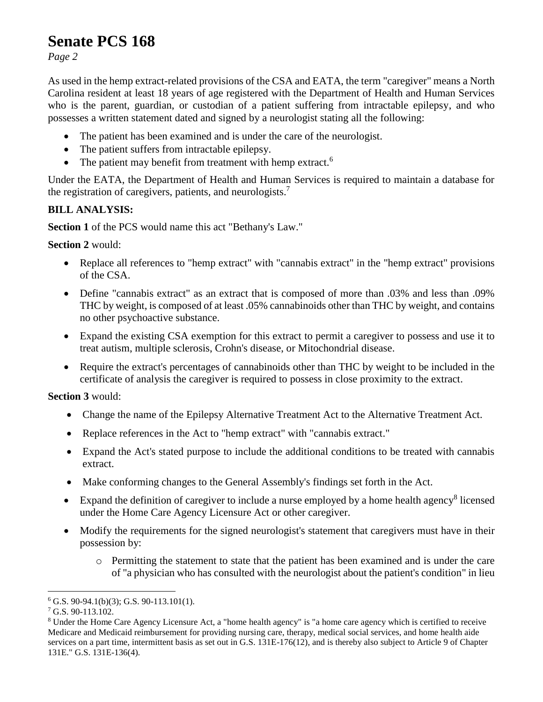### **Senate PCS 168**

*Page 2*

As used in the hemp extract-related provisions of the CSA and EATA, the term "caregiver" means a North Carolina resident at least 18 years of age registered with the Department of Health and Human Services who is the parent, guardian, or custodian of a patient suffering from intractable epilepsy, and who possesses a written statement dated and signed by a neurologist stating all the following:

- The patient has been examined and is under the care of the neurologist.
- The patient suffers from intractable epilepsy.
- The patient may benefit from treatment with hemp extract.<sup>6</sup>

Under the EATA, the Department of Health and Human Services is required to maintain a database for the registration of caregivers, patients, and neurologists.<sup>7</sup>

### **BILL ANALYSIS:**

**Section 1** of the PCS would name this act "Bethany's Law."

### **Section 2** would:

- Replace all references to "hemp extract" with "cannabis extract" in the "hemp extract" provisions of the CSA.
- Define "cannabis extract" as an extract that is composed of more than .03% and less than .09% THC by weight, is composed of at least .05% cannabinoids other than THC by weight, and contains no other psychoactive substance.
- Expand the existing CSA exemption for this extract to permit a caregiver to possess and use it to treat autism, multiple sclerosis, Crohn's disease, or Mitochondrial disease.
- Require the extract's percentages of cannabinoids other than THC by weight to be included in the certificate of analysis the caregiver is required to possess in close proximity to the extract.

**Section 3** would:

- Change the name of the Epilepsy Alternative Treatment Act to the Alternative Treatment Act.
- Replace references in the Act to "hemp extract" with "cannabis extract."
- Expand the Act's stated purpose to include the additional conditions to be treated with cannabis extract.
- Make conforming changes to the General Assembly's findings set forth in the Act.
- Expand the definition of caregiver to include a nurse employed by a home health agency<sup>8</sup> licensed under the Home Care Agency Licensure Act or other caregiver.
- Modify the requirements for the signed neurologist's statement that caregivers must have in their possession by:
	- o Permitting the statement to state that the patient has been examined and is under the care of "a physician who has consulted with the neurologist about the patient's condition" in lieu

 $\overline{a}$ 

 $6$  G.S. 90-94.1(b)(3); G.S. 90-113.101(1).

<sup>7</sup> G.S. 90-113.102.

<sup>8</sup> Under the Home Care Agency Licensure Act, a "home health agency" is "a home care agency which is certified to receive Medicare and Medicaid reimbursement for providing nursing care, therapy, medical social services, and home health aide services on a part time, intermittent basis as set out in G.S. 131E-176(12), and is thereby also subject to Article 9 of Chapter 131E." G.S. 131E-136(4).